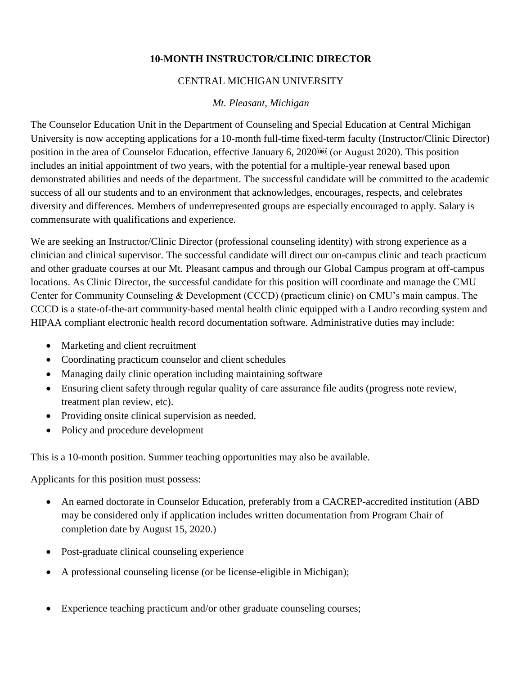## **10-MONTH INSTRUCTOR/CLINIC DIRECTOR**

## CENTRAL MICHIGAN UNIVERSITY

## *Mt. Pleasant, Michigan*

The Counselor Education Unit in the Department of Counseling and Special Education at Central Michigan University is now accepting applications for a 10-month full-time fixed-term faculty (Instructor/Clinic Director) position in the area of Counselor Education, effective January 6, 2020 (or August 2020). This position includes an initial appointment of two years, with the potential for a multiple-year renewal based upon demonstrated abilities and needs of the department. The successful candidate will be committed to the academic success of all our students and to an environment that acknowledges, encourages, respects, and celebrates diversity and differences. Members of underrepresented groups are especially encouraged to apply. Salary is commensurate with qualifications and experience.

We are seeking an Instructor/Clinic Director (professional counseling identity) with strong experience as a clinician and clinical supervisor. The successful candidate will direct our on-campus clinic and teach practicum and other graduate courses at our Mt. Pleasant campus and through our Global Campus program at off-campus locations. As Clinic Director, the successful candidate for this position will coordinate and manage the CMU Center for Community Counseling & Development (CCCD) (practicum clinic) on CMU's main campus. The CCCD is a state-of-the-art community-based mental health clinic equipped with a Landro recording system and HIPAA compliant electronic health record documentation software. Administrative duties may include:

- Marketing and client recruitment
- Coordinating practicum counselor and client schedules
- Managing daily clinic operation including maintaining software
- Ensuring client safety through regular quality of care assurance file audits (progress note review, treatment plan review, etc).
- Providing onsite clinical supervision as needed.
- Policy and procedure development

This is a 10-month position. Summer teaching opportunities may also be available.

Applicants for this position must possess:

- An earned doctorate in Counselor Education, preferably from a CACREP-accredited institution (ABD may be considered only if application includes written documentation from Program Chair of completion date by August 15, 2020.)
- Post-graduate clinical counseling experience
- A professional counseling license (or be license-eligible in Michigan);
- Experience teaching practicum and/or other graduate counseling courses;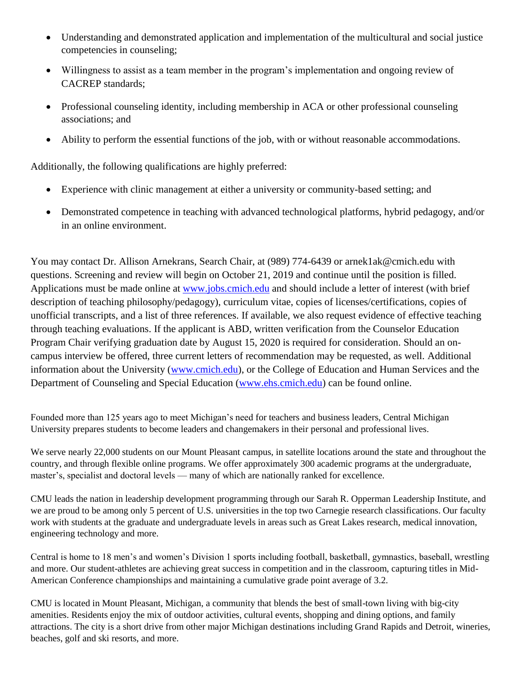- Understanding and demonstrated application and implementation of the multicultural and social justice competencies in counseling;
- Willingness to assist as a team member in the program's implementation and ongoing review of CACREP standards;
- Professional counseling identity, including membership in ACA or other professional counseling associations; and
- Ability to perform the essential functions of the job, with or without reasonable accommodations.

Additionally, the following qualifications are highly preferred:

- Experience with clinic management at either a university or community-based setting; and
- Demonstrated competence in teaching with advanced technological platforms, hybrid pedagogy, and/or in an online environment.

You may contact Dr. Allison Arnekrans, Search Chair, at (989) 774-6439 or arnek1ak@cmich.edu with questions. Screening and review will begin on October 21, 2019 and continue until the position is filled. Applications must be made online at [www.jobs.cmich.edu](http://www.jobs.cmich.edu/) and should include a letter of interest (with brief description of teaching philosophy/pedagogy), curriculum vitae, copies of licenses/certifications, copies of unofficial transcripts, and a list of three references. If available, we also request evidence of effective teaching through teaching evaluations. If the applicant is ABD, written verification from the Counselor Education Program Chair verifying graduation date by August 15, 2020 is required for consideration. Should an oncampus interview be offered, three current letters of recommendation may be requested, as well. Additional information about the University [\(www.cmich.edu\)](http://www.cmich.edu/), or the College of Education and Human Services and the Department of Counseling and Special Education [\(www.ehs.cmich.edu\)](http://www.ehs.cmich.edu/) can be found online.

Founded more than 125 years ago to meet Michigan's need for teachers and business leaders, Central Michigan University prepares students to become leaders and changemakers in their personal and professional lives.

We serve nearly 22,000 students on our Mount Pleasant campus, in satellite locations around the state and throughout the country, and through flexible online programs. We offer approximately 300 academic programs at the undergraduate, master's, specialist and doctoral levels — many of which are nationally ranked for excellence.

CMU leads the nation in leadership development programming through our Sarah R. Opperman Leadership Institute, and we are proud to be among only 5 percent of U.S. universities in the top two Carnegie research classifications. Our faculty work with students at the graduate and undergraduate levels in areas such as Great Lakes research, medical innovation, engineering technology and more.

Central is home to 18 men's and women's Division 1 sports including football, basketball, gymnastics, baseball, wrestling and more. Our student-athletes are achieving great success in competition and in the classroom, capturing titles in Mid-American Conference championships and maintaining a cumulative grade point average of 3.2.

CMU is located in Mount Pleasant, Michigan, a community that blends the best of small-town living with big-city amenities. Residents enjoy the mix of outdoor activities, cultural events, shopping and dining options, and family attractions. The city is a short drive from other major Michigan destinations including Grand Rapids and Detroit, wineries, beaches, golf and ski resorts, and more.